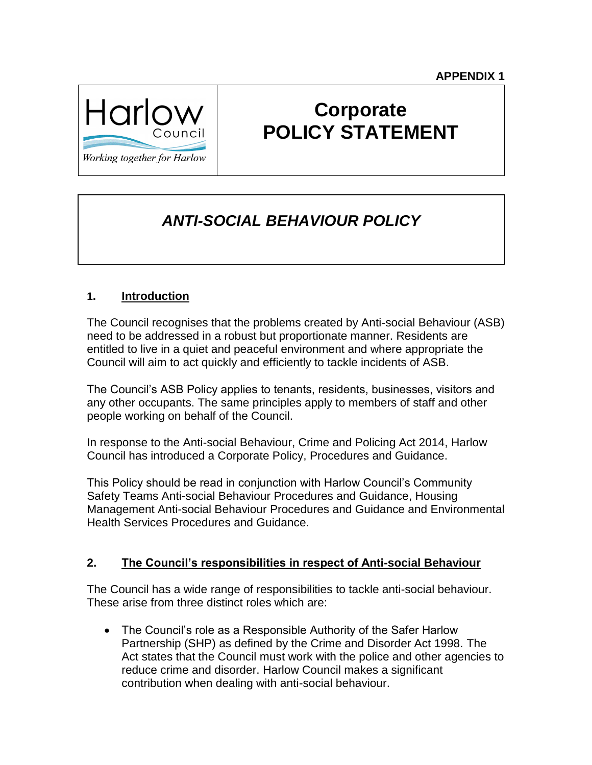

# **Corporate POLICY STATEMENT**

Working together for Harlow

## *ANTI-SOCIAL BEHAVIOUR POLICY*

#### **1. Introduction**

The Council recognises that the problems created by Anti-social Behaviour (ASB) need to be addressed in a robust but proportionate manner. Residents are entitled to live in a quiet and peaceful environment and where appropriate the Council will aim to act quickly and efficiently to tackle incidents of ASB.

The Council's ASB Policy applies to tenants, residents, businesses, visitors and any other occupants. The same principles apply to members of staff and other people working on behalf of the Council.

In response to the Anti-social Behaviour, Crime and Policing Act 2014, Harlow Council has introduced a Corporate Policy, Procedures and Guidance.

This Policy should be read in conjunction with Harlow Council's Community Safety Teams Anti-social Behaviour Procedures and Guidance, Housing Management Anti-social Behaviour Procedures and Guidance and Environmental Health Services Procedures and Guidance.

#### **2. The Council's responsibilities in respect of Anti-social Behaviour**

The Council has a wide range of responsibilities to tackle anti-social behaviour. These arise from three distinct roles which are:

• The Council's role as a Responsible Authority of the Safer Harlow Partnership (SHP) as defined by the Crime and Disorder Act 1998. The Act states that the Council must work with the police and other agencies to reduce crime and disorder. Harlow Council makes a significant contribution when dealing with anti-social behaviour.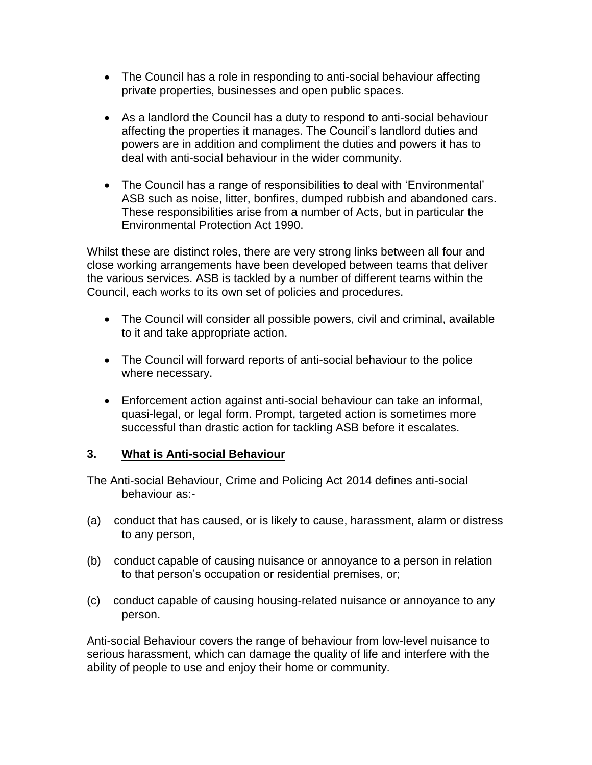- The Council has a role in responding to anti-social behaviour affecting private properties, businesses and open public spaces.
- As a landlord the Council has a duty to respond to anti-social behaviour affecting the properties it manages. The Council's landlord duties and powers are in addition and compliment the duties and powers it has to deal with anti-social behaviour in the wider community.
- The Council has a range of responsibilities to deal with 'Environmental' ASB such as noise, litter, bonfires, dumped rubbish and abandoned cars. These responsibilities arise from a number of Acts, but in particular the Environmental Protection Act 1990.

Whilst these are distinct roles, there are very strong links between all four and close working arrangements have been developed between teams that deliver the various services. ASB is tackled by a number of different teams within the Council, each works to its own set of policies and procedures.

- The Council will consider all possible powers, civil and criminal, available to it and take appropriate action.
- The Council will forward reports of anti-social behaviour to the police where necessary.
- Enforcement action against anti-social behaviour can take an informal, quasi-legal, or legal form. Prompt, targeted action is sometimes more successful than drastic action for tackling ASB before it escalates.

#### **3. What is Anti-social Behaviour**

The Anti-social Behaviour, Crime and Policing Act 2014 defines anti-social behaviour as:-

- (a) conduct that has caused, or is likely to cause, harassment, alarm or distress to any person,
- (b) conduct capable of causing nuisance or annoyance to a person in relation to that person's occupation or residential premises, or;
- (c) conduct capable of causing housing-related nuisance or annoyance to any person.

Anti-social Behaviour covers the range of behaviour from low-level nuisance to serious harassment, which can damage the quality of life and interfere with the ability of people to use and enjoy their home or community.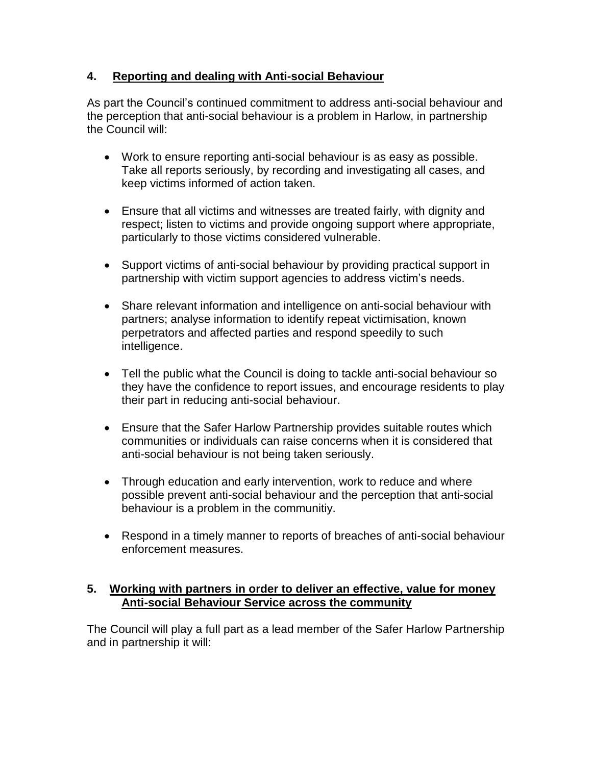#### **4. Reporting and dealing with Anti-social Behaviour**

As part the Council's continued commitment to address anti-social behaviour and the perception that anti-social behaviour is a problem in Harlow, in partnership the Council will:

- Work to ensure reporting anti-social behaviour is as easy as possible. Take all reports seriously, by recording and investigating all cases, and keep victims informed of action taken.
- Ensure that all victims and witnesses are treated fairly, with dignity and respect; listen to victims and provide ongoing support where appropriate, particularly to those victims considered vulnerable.
- Support victims of anti-social behaviour by providing practical support in partnership with victim support agencies to address victim's needs.
- Share relevant information and intelligence on anti-social behaviour with partners; analyse information to identify repeat victimisation, known perpetrators and affected parties and respond speedily to such intelligence.
- Tell the public what the Council is doing to tackle anti-social behaviour so they have the confidence to report issues, and encourage residents to play their part in reducing anti-social behaviour.
- Ensure that the Safer Harlow Partnership provides suitable routes which communities or individuals can raise concerns when it is considered that anti-social behaviour is not being taken seriously.
- Through education and early intervention, work to reduce and where possible prevent anti-social behaviour and the perception that anti-social behaviour is a problem in the communitiy.
- Respond in a timely manner to reports of breaches of anti-social behaviour enforcement measures.

#### **5. Working with partners in order to deliver an effective, value for money Anti-social Behaviour Service across the community**

The Council will play a full part as a lead member of the Safer Harlow Partnership and in partnership it will: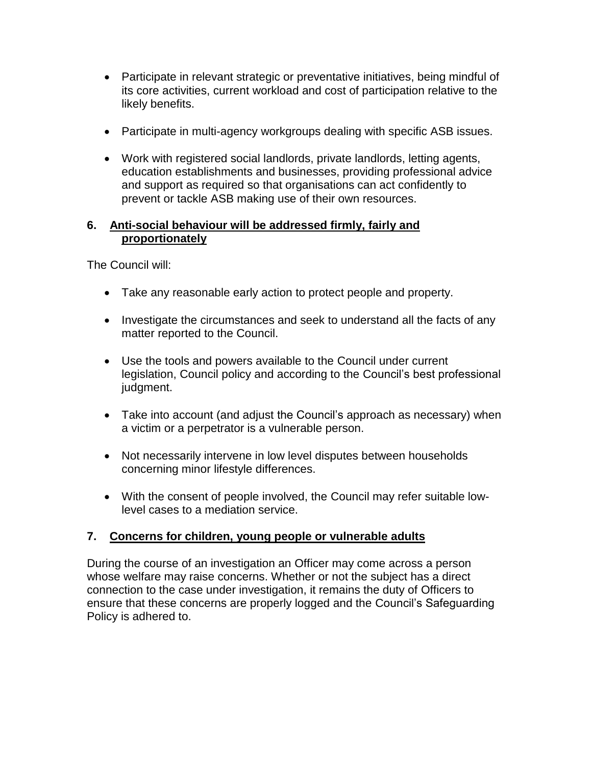- Participate in relevant strategic or preventative initiatives, being mindful of its core activities, current workload and cost of participation relative to the likely benefits.
- Participate in multi-agency workgroups dealing with specific ASB issues.
- Work with registered social landlords, private landlords, letting agents, education establishments and businesses, providing professional advice and support as required so that organisations can act confidently to prevent or tackle ASB making use of their own resources.

#### **6. Anti-social behaviour will be addressed firmly, fairly and proportionately**

The Council will:

- Take any reasonable early action to protect people and property.
- Investigate the circumstances and seek to understand all the facts of any matter reported to the Council.
- Use the tools and powers available to the Council under current legislation, Council policy and according to the Council's best professional judgment.
- Take into account (and adjust the Council's approach as necessary) when a victim or a perpetrator is a vulnerable person.
- Not necessarily intervene in low level disputes between households concerning minor lifestyle differences.
- With the consent of people involved, the Council may refer suitable lowlevel cases to a mediation service.

#### **7. Concerns for children, young people or vulnerable adults**

During the course of an investigation an Officer may come across a person whose welfare may raise concerns. Whether or not the subject has a direct connection to the case under investigation, it remains the duty of Officers to ensure that these concerns are properly logged and the Council's Safeguarding Policy is adhered to.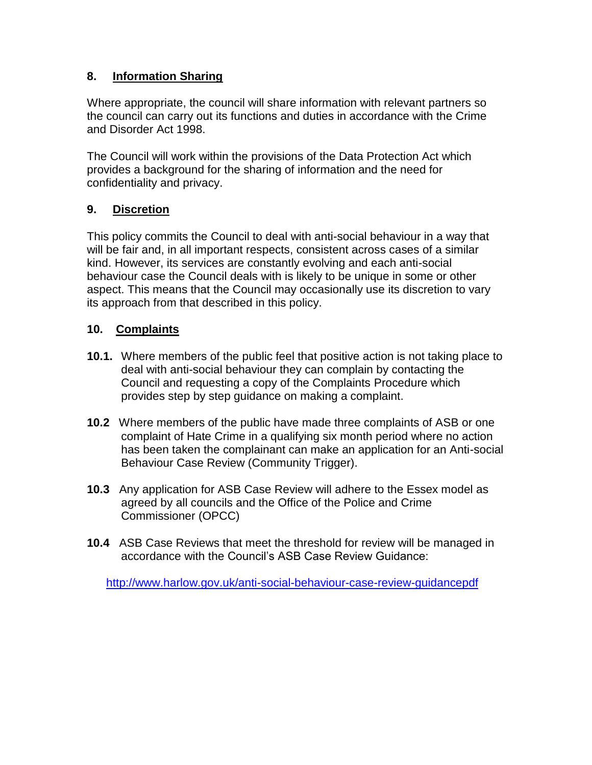#### **8. Information Sharing**

Where appropriate, the council will share information with relevant partners so the council can carry out its functions and duties in accordance with the Crime and Disorder Act 1998.

The Council will work within the provisions of the Data Protection Act which provides a background for the sharing of information and the need for confidentiality and privacy.

#### **9. Discretion**

This policy commits the Council to deal with anti-social behaviour in a way that will be fair and, in all important respects, consistent across cases of a similar kind. However, its services are constantly evolving and each anti-social behaviour case the Council deals with is likely to be unique in some or other aspect. This means that the Council may occasionally use its discretion to vary its approach from that described in this policy.

#### **10. Complaints**

- **10.1.** Where members of the public feel that positive action is not taking place to deal with anti-social behaviour they can complain by contacting the Council and requesting a copy of the Complaints Procedure which provides step by step guidance on making a complaint.
- **10.2** Where members of the public have made three complaints of ASB or one complaint of Hate Crime in a qualifying six month period where no action has been taken the complainant can make an application for an Anti-social Behaviour Case Review (Community Trigger).
- **10.3** Any application for ASB Case Review will adhere to the Essex model as agreed by all councils and the Office of the Police and Crime Commissioner (OPCC)
- **10.4** ASB Case Reviews that meet the threshold for review will be managed in accordance with the Council's ASB Case Review Guidance:

<http://www.harlow.gov.uk/anti-social-behaviour-case-review-guidancepdf>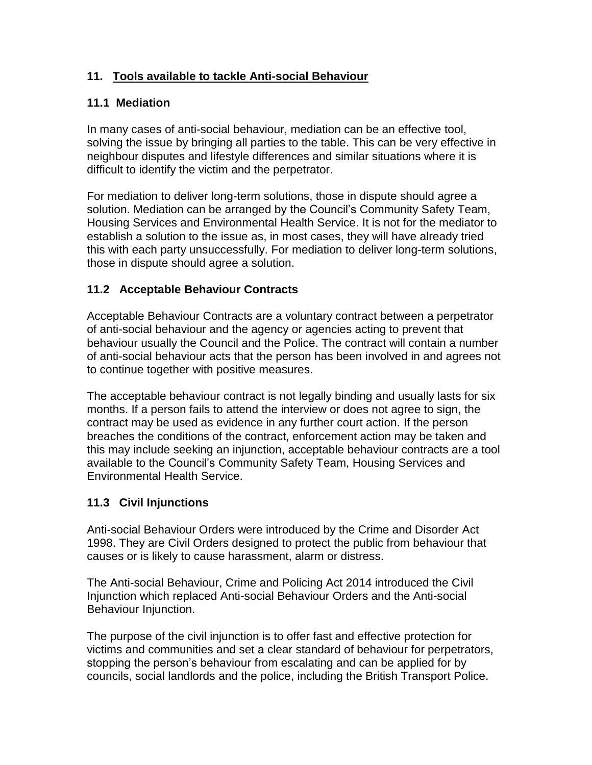#### **11. Tools available to tackle Anti-social Behaviour**

#### **11.1 Mediation**

In many cases of anti-social behaviour, mediation can be an effective tool, solving the issue by bringing all parties to the table. This can be very effective in neighbour disputes and lifestyle differences and similar situations where it is difficult to identify the victim and the perpetrator.

For mediation to deliver long-term solutions, those in dispute should agree a solution. Mediation can be arranged by the Council's Community Safety Team, Housing Services and Environmental Health Service. It is not for the mediator to establish a solution to the issue as, in most cases, they will have already tried this with each party unsuccessfully. For mediation to deliver long-term solutions, those in dispute should agree a solution.

#### **11.2 Acceptable Behaviour Contracts**

Acceptable Behaviour Contracts are a voluntary contract between a perpetrator of anti-social behaviour and the agency or agencies acting to prevent that behaviour usually the Council and the Police. The contract will contain a number of anti-social behaviour acts that the person has been involved in and agrees not to continue together with positive measures.

The acceptable behaviour contract is not legally binding and usually lasts for six months. If a person fails to attend the interview or does not agree to sign, the contract may be used as evidence in any further court action. If the person breaches the conditions of the contract, enforcement action may be taken and this may include seeking an injunction, acceptable behaviour contracts are a tool available to the Council's Community Safety Team, Housing Services and Environmental Health Service.

#### **11.3 Civil Injunctions**

Anti-social Behaviour Orders were introduced by the Crime and Disorder Act 1998. They are Civil Orders designed to protect the public from behaviour that causes or is likely to cause harassment, alarm or distress.

The Anti-social Behaviour, Crime and Policing Act 2014 introduced the Civil Injunction which replaced Anti-social Behaviour Orders and the Anti-social Behaviour Injunction.

The purpose of the civil injunction is to offer fast and effective protection for victims and communities and set a clear standard of behaviour for perpetrators, stopping the person's behaviour from escalating and can be applied for by councils, social landlords and the police, including the British Transport Police.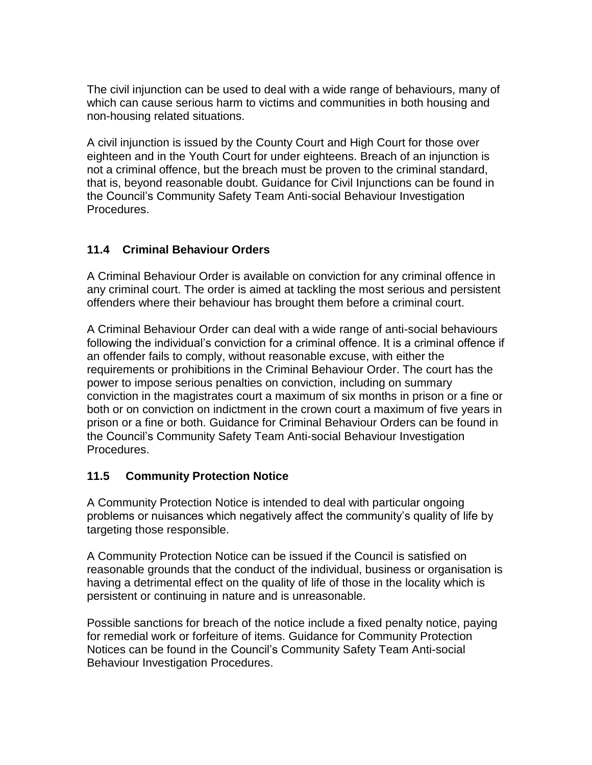The civil injunction can be used to deal with a wide range of behaviours, many of which can cause serious harm to victims and communities in both housing and non-housing related situations.

A civil injunction is issued by the County Court and High Court for those over eighteen and in the Youth Court for under eighteens. Breach of an injunction is not a criminal offence, but the breach must be proven to the criminal standard, that is, beyond reasonable doubt. Guidance for Civil Injunctions can be found in the Council's Community Safety Team Anti-social Behaviour Investigation Procedures.

#### **11.4 Criminal Behaviour Orders**

A Criminal Behaviour Order is available on conviction for any criminal offence in any criminal court. The order is aimed at tackling the most serious and persistent offenders where their behaviour has brought them before a criminal court.

A Criminal Behaviour Order can deal with a wide range of anti-social behaviours following the individual's conviction for a criminal offence. It is a criminal offence if an offender fails to comply, without reasonable excuse, with either the requirements or prohibitions in the Criminal Behaviour Order. The court has the power to impose serious penalties on conviction, including on summary conviction in the magistrates court a maximum of six months in prison or a fine or both or on conviction on indictment in the crown court a maximum of five years in prison or a fine or both. Guidance for Criminal Behaviour Orders can be found in the Council's Community Safety Team Anti-social Behaviour Investigation **Procedures** 

#### **11.5 Community Protection Notice**

A Community Protection Notice is intended to deal with particular ongoing problems or nuisances which negatively affect the community's quality of life by targeting those responsible.

A Community Protection Notice can be issued if the Council is satisfied on reasonable grounds that the conduct of the individual, business or organisation is having a detrimental effect on the quality of life of those in the locality which is persistent or continuing in nature and is unreasonable.

Possible sanctions for breach of the notice include a fixed penalty notice, paying for remedial work or forfeiture of items. Guidance for Community Protection Notices can be found in the Council's Community Safety Team Anti-social Behaviour Investigation Procedures.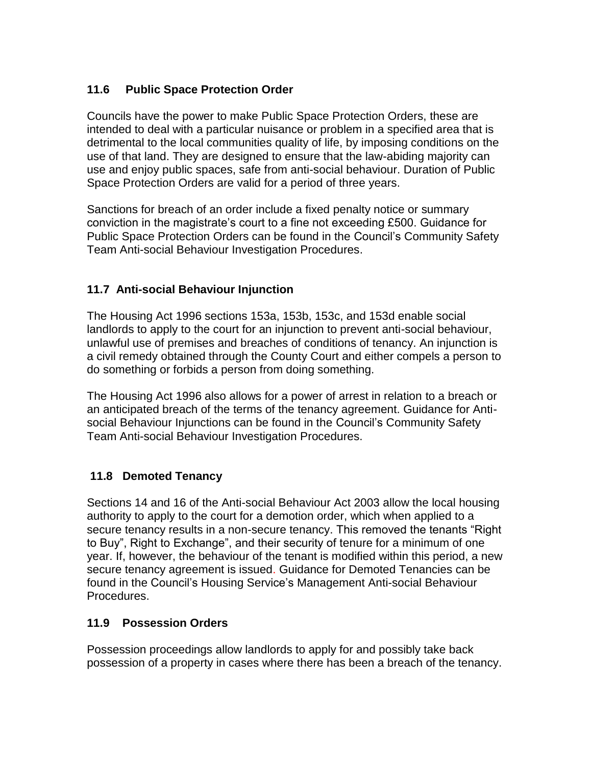#### **11.6 Public Space Protection Order**

Councils have the power to make Public Space Protection Orders, these are intended to deal with a particular nuisance or problem in a specified area that is detrimental to the local communities quality of life, by imposing conditions on the use of that land. They are designed to ensure that the law-abiding majority can use and enjoy public spaces, safe from anti-social behaviour. Duration of Public Space Protection Orders are valid for a period of three years.

Sanctions for breach of an order include a fixed penalty notice or summary conviction in the magistrate's court to a fine not exceeding £500. Guidance for Public Space Protection Orders can be found in the Council's Community Safety Team Anti-social Behaviour Investigation Procedures.

#### **11.7 Anti-social Behaviour Injunction**

The Housing Act 1996 sections 153a, 153b, 153c, and 153d enable social landlords to apply to the court for an injunction to prevent anti-social behaviour, unlawful use of premises and breaches of conditions of tenancy. An injunction is a civil remedy obtained through the County Court and either compels a person to do something or forbids a person from doing something.

The Housing Act 1996 also allows for a power of arrest in relation to a breach or an anticipated breach of the terms of the tenancy agreement. Guidance for Antisocial Behaviour Injunctions can be found in the Council's Community Safety Team Anti-social Behaviour Investigation Procedures.

#### **11.8 Demoted Tenancy**

Sections 14 and 16 of the Anti-social Behaviour Act 2003 allow the local housing authority to apply to the court for a demotion order, which when applied to a secure tenancy results in a non-secure tenancy. This removed the tenants "Right to Buy", Right to Exchange", and their security of tenure for a minimum of one year. If, however, the behaviour of the tenant is modified within this period, a new secure tenancy agreement is issued. Guidance for Demoted Tenancies can be found in the Council's Housing Service's Management Anti-social Behaviour Procedures.

#### **11.9 Possession Orders**

Possession proceedings allow landlords to apply for and possibly take back possession of a property in cases where there has been a breach of the tenancy.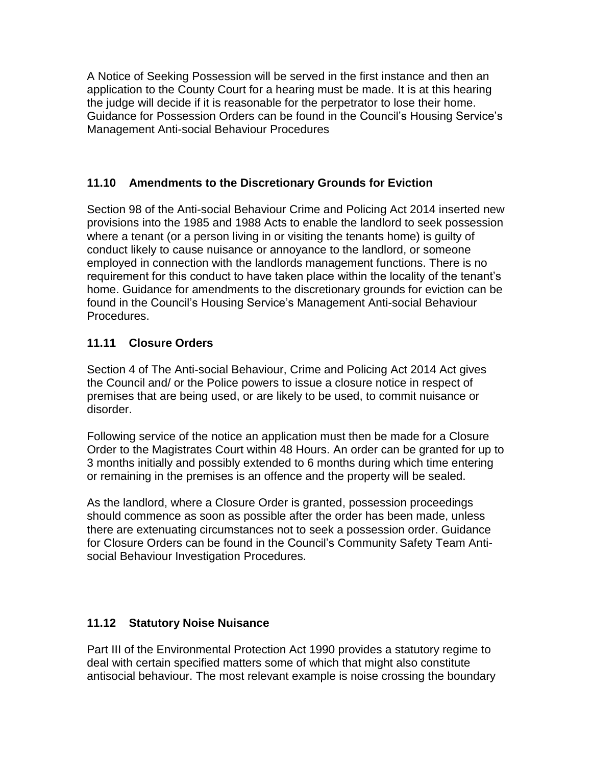A Notice of Seeking Possession will be served in the first instance and then an application to the County Court for a hearing must be made. It is at this hearing the judge will decide if it is reasonable for the perpetrator to lose their home. Guidance for Possession Orders can be found in the Council's Housing Service's Management Anti-social Behaviour Procedures

#### **11.10 Amendments to the Discretionary Grounds for Eviction**

Section 98 of the Anti-social Behaviour Crime and Policing Act 2014 inserted new provisions into the 1985 and 1988 Acts to enable the landlord to seek possession where a tenant (or a person living in or visiting the tenants home) is guilty of conduct likely to cause nuisance or annoyance to the landlord, or someone employed in connection with the landlords management functions. There is no requirement for this conduct to have taken place within the locality of the tenant's home. Guidance for amendments to the discretionary grounds for eviction can be found in the Council's Housing Service's Management Anti-social Behaviour Procedures.

#### **11.11 Closure Orders**

Section 4 of The Anti-social Behaviour, Crime and Policing Act 2014 Act gives the Council and/ or the Police powers to issue a closure notice in respect of premises that are being used, or are likely to be used, to commit nuisance or disorder.

Following service of the notice an application must then be made for a Closure Order to the Magistrates Court within 48 Hours. An order can be granted for up to 3 months initially and possibly extended to 6 months during which time entering or remaining in the premises is an offence and the property will be sealed.

As the landlord, where a Closure Order is granted, possession proceedings should commence as soon as possible after the order has been made, unless there are extenuating circumstances not to seek a possession order. Guidance for Closure Orders can be found in the Council's Community Safety Team Antisocial Behaviour Investigation Procedures.

#### **11.12 Statutory Noise Nuisance**

Part III of the Environmental Protection Act 1990 provides a statutory regime to deal with certain specified matters some of which that might also constitute antisocial behaviour. The most relevant example is noise crossing the boundary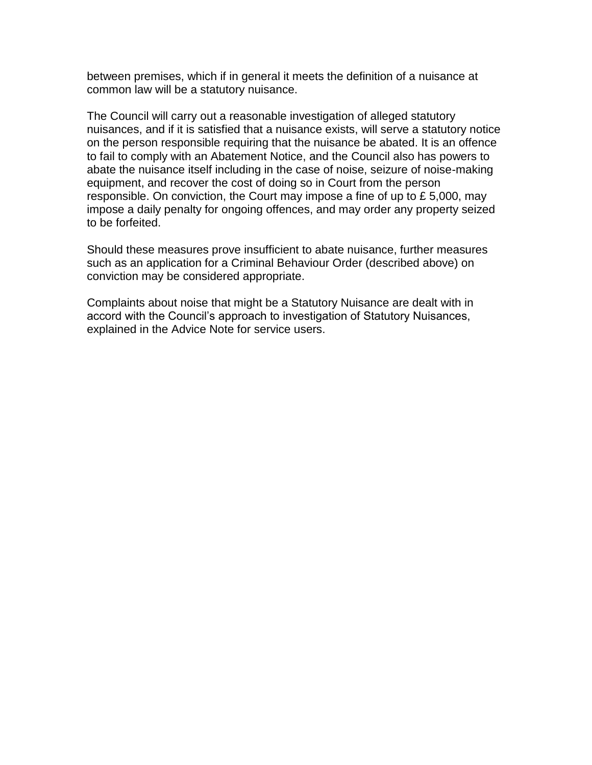between premises, which if in general it meets the definition of a nuisance at common law will be a statutory nuisance.

The Council will carry out a reasonable investigation of alleged statutory nuisances, and if it is satisfied that a nuisance exists, will serve a statutory notice on the person responsible requiring that the nuisance be abated. It is an offence to fail to comply with an Abatement Notice, and the Council also has powers to abate the nuisance itself including in the case of noise, seizure of noise-making equipment, and recover the cost of doing so in Court from the person responsible. On conviction, the Court may impose a fine of up to £ 5,000, may impose a daily penalty for ongoing offences, and may order any property seized to be forfeited.

Should these measures prove insufficient to abate nuisance, further measures such as an application for a Criminal Behaviour Order (described above) on conviction may be considered appropriate.

Complaints about noise that might be a Statutory Nuisance are dealt with in accord with the Council's approach to investigation of Statutory Nuisances, explained in the Advice Note for service users.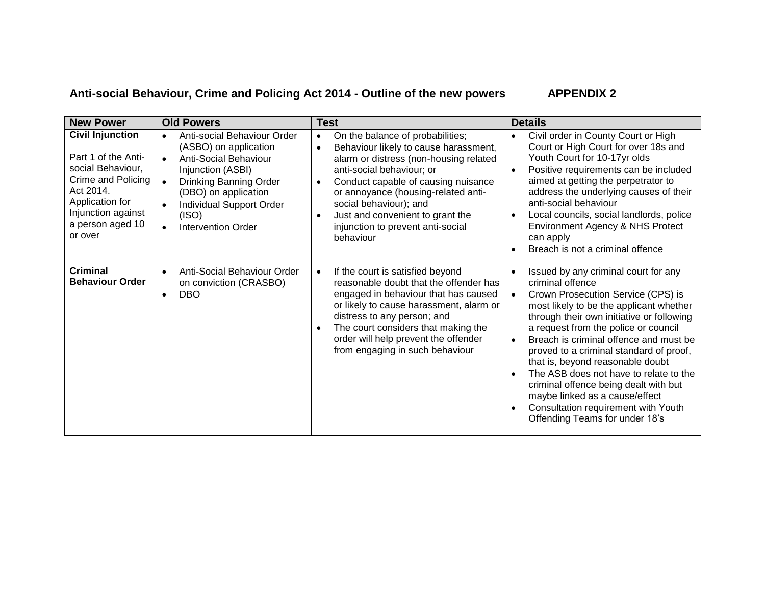### **Anti-social Behaviour, Crime and Policing Act 2014 - Outline of the new powers APPENDIX 2**

| <b>New Power</b>                                                                                                                                                               | <b>Old Powers</b>                                                                                                                                                                                                                                                          | <b>Test</b>                                                                                                                                                                                                                                                                                                                                                                           | <b>Details</b>                                                                                                                                                                                                                                                                                                                                                                                                                                                                                                                                                                  |
|--------------------------------------------------------------------------------------------------------------------------------------------------------------------------------|----------------------------------------------------------------------------------------------------------------------------------------------------------------------------------------------------------------------------------------------------------------------------|---------------------------------------------------------------------------------------------------------------------------------------------------------------------------------------------------------------------------------------------------------------------------------------------------------------------------------------------------------------------------------------|---------------------------------------------------------------------------------------------------------------------------------------------------------------------------------------------------------------------------------------------------------------------------------------------------------------------------------------------------------------------------------------------------------------------------------------------------------------------------------------------------------------------------------------------------------------------------------|
| <b>Civil Injunction</b><br>Part 1 of the Anti-<br>social Behaviour,<br>Crime and Policing<br>Act 2014.<br>Application for<br>Injunction against<br>a person aged 10<br>or over | Anti-social Behaviour Order<br>$\bullet$<br>(ASBO) on application<br>Anti-Social Behaviour<br>$\bullet$<br>Injunction (ASBI)<br>Drinking Banning Order<br>$\bullet$<br>(DBO) on application<br>Individual Support Order<br>(ISO)<br><b>Intervention Order</b><br>$\bullet$ | On the balance of probabilities;<br>Behaviour likely to cause harassment,<br>$\bullet$<br>alarm or distress (non-housing related<br>anti-social behaviour; or<br>Conduct capable of causing nuisance<br>$\bullet$<br>or annoyance (housing-related anti-<br>social behaviour); and<br>Just and convenient to grant the<br>$\bullet$<br>injunction to prevent anti-social<br>behaviour | Civil order in County Court or High<br>$\bullet$<br>Court or High Court for over 18s and<br>Youth Court for 10-17yr olds<br>Positive requirements can be included<br>$\bullet$<br>aimed at getting the perpetrator to<br>address the underlying causes of their<br>anti-social behaviour<br>Local councils, social landlords, police<br>$\bullet$<br>Environment Agency & NHS Protect<br>can apply<br>Breach is not a criminal offence                                                                                                                                          |
| <b>Criminal</b><br><b>Behaviour Order</b>                                                                                                                                      | Anti-Social Behaviour Order<br>$\bullet$<br>on conviction (CRASBO)<br><b>DBO</b><br>$\bullet$                                                                                                                                                                              | If the court is satisfied beyond<br>$\bullet$<br>reasonable doubt that the offender has<br>engaged in behaviour that has caused<br>or likely to cause harassment, alarm or<br>distress to any person; and<br>The court considers that making the<br>order will help prevent the offender<br>from engaging in such behaviour                                                           | Issued by any criminal court for any<br>$\bullet$<br>criminal offence<br>Crown Prosecution Service (CPS) is<br>most likely to be the applicant whether<br>through their own initiative or following<br>a request from the police or council<br>Breach is criminal offence and must be<br>$\bullet$<br>proved to a criminal standard of proof,<br>that is, beyond reasonable doubt<br>The ASB does not have to relate to the<br>criminal offence being dealt with but<br>maybe linked as a cause/effect<br>Consultation requirement with Youth<br>Offending Teams for under 18's |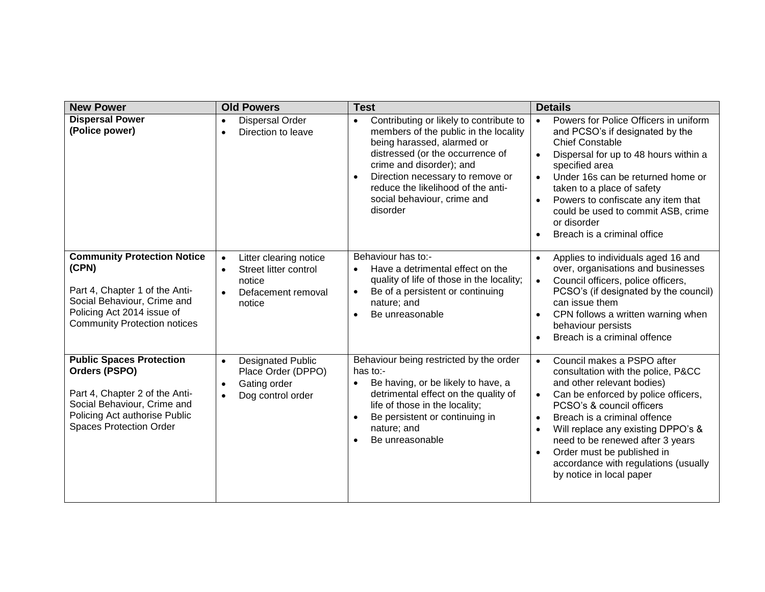| <b>New Power</b>                                                                                                                                                                     | <b>Old Powers</b>                                                                                                                | <b>Test</b>                                                                                                                                                                                                                                                                                                                   | <b>Details</b>                                                                                                                                                                                                                                                                                                                                                                                                        |
|--------------------------------------------------------------------------------------------------------------------------------------------------------------------------------------|----------------------------------------------------------------------------------------------------------------------------------|-------------------------------------------------------------------------------------------------------------------------------------------------------------------------------------------------------------------------------------------------------------------------------------------------------------------------------|-----------------------------------------------------------------------------------------------------------------------------------------------------------------------------------------------------------------------------------------------------------------------------------------------------------------------------------------------------------------------------------------------------------------------|
| <b>Dispersal Power</b><br>(Police power)                                                                                                                                             | <b>Dispersal Order</b><br>$\bullet$<br>Direction to leave<br>$\bullet$                                                           | Contributing or likely to contribute to<br>$\bullet$<br>members of the public in the locality<br>being harassed, alarmed or<br>distressed (or the occurrence of<br>crime and disorder); and<br>Direction necessary to remove or<br>$\bullet$<br>reduce the likelihood of the anti-<br>social behaviour, crime and<br>disorder | Powers for Police Officers in uniform<br>$\bullet$<br>and PCSO's if designated by the<br><b>Chief Constable</b><br>Dispersal for up to 48 hours within a<br>$\bullet$<br>specified area<br>Under 16s can be returned home or<br>taken to a place of safety<br>Powers to confiscate any item that<br>could be used to commit ASB, crime<br>or disorder<br>Breach is a criminal office                                  |
| <b>Community Protection Notice</b><br>(CPN)<br>Part 4, Chapter 1 of the Anti-<br>Social Behaviour, Crime and<br>Policing Act 2014 issue of<br><b>Community Protection notices</b>    | Litter clearing notice<br>$\bullet$<br>Street litter control<br>$\bullet$<br>notice<br>Defacement removal<br>$\bullet$<br>notice | Behaviour has to:-<br>Have a detrimental effect on the<br>$\bullet$<br>quality of life of those in the locality;<br>Be of a persistent or continuing<br>$\bullet$<br>nature; and<br>Be unreasonable<br>$\bullet$                                                                                                              | Applies to individuals aged 16 and<br>over, organisations and businesses<br>Council officers, police officers,<br>$\bullet$<br>PCSO's (if designated by the council)<br>can issue them<br>CPN follows a written warning when<br>behaviour persists<br>Breach is a criminal offence                                                                                                                                    |
| <b>Public Spaces Protection</b><br>Orders (PSPO)<br>Part 4, Chapter 2 of the Anti-<br>Social Behaviour, Crime and<br>Policing Act authorise Public<br><b>Spaces Protection Order</b> | <b>Designated Public</b><br>$\bullet$<br>Place Order (DPPO)<br>Gating order<br>$\bullet$<br>Dog control order<br>$\bullet$       | Behaviour being restricted by the order<br>has to:-<br>Be having, or be likely to have, a<br>$\bullet$<br>detrimental effect on the quality of<br>life of those in the locality;<br>Be persistent or continuing in<br>$\bullet$<br>nature; and<br>Be unreasonable<br>$\bullet$                                                | Council makes a PSPO after<br>$\bullet$<br>consultation with the police, P&CC<br>and other relevant bodies)<br>Can be enforced by police officers,<br>$\bullet$<br>PCSO's & council officers<br>Breach is a criminal offence<br>$\bullet$<br>Will replace any existing DPPO's &<br>need to be renewed after 3 years<br>Order must be published in<br>accordance with regulations (usually<br>by notice in local paper |